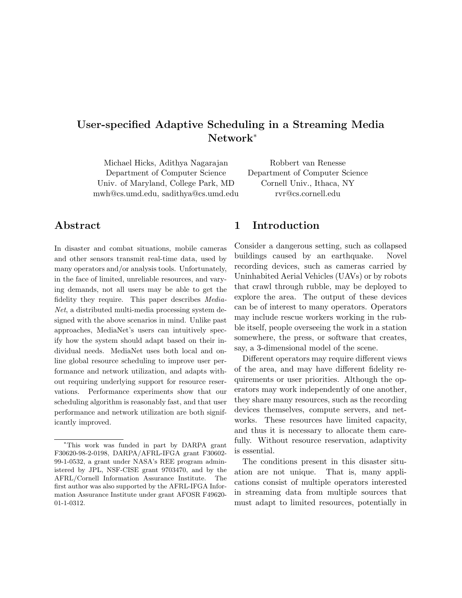# User-specified Adaptive Scheduling in a Streaming Media Network<sup>∗</sup>

Michael Hicks, Adithya Nagarajan Robbert van Renesse Department of Computer Science Department of Computer Science Univ. of Maryland, College Park, MD Cornell Univ., Ithaca, NY mwh@cs.umd.edu, sadithya@cs.umd.edu rvr@cs.cornell.edu

# Abstract

In disaster and combat situations, mobile cameras and other sensors transmit real-time data, used by many operators and/or analysis tools. Unfortunately, in the face of limited, unreliable resources, and varying demands, not all users may be able to get the fidelity they require. This paper describes Media-Net, a distributed multi-media processing system designed with the above scenarios in mind. Unlike past approaches, MediaNet's users can intuitively specify how the system should adapt based on their individual needs. MediaNet uses both local and online global resource scheduling to improve user performance and network utilization, and adapts without requiring underlying support for resource reservations. Performance experiments show that our scheduling algorithm is reasonably fast, and that user performance and network utilization are both significantly improved.

# 1 Introduction

Consider a dangerous setting, such as collapsed buildings caused by an earthquake. Novel recording devices, such as cameras carried by Uninhabited Aerial Vehicles (UAVs) or by robots that crawl through rubble, may be deployed to explore the area. The output of these devices can be of interest to many operators. Operators may include rescue workers working in the rubble itself, people overseeing the work in a station somewhere, the press, or software that creates, say, a 3-dimensional model of the scene.

Different operators may require different views of the area, and may have different fidelity requirements or user priorities. Although the operators may work independently of one another, they share many resources, such as the recording devices themselves, compute servers, and networks. These resources have limited capacity, and thus it is necessary to allocate them carefully. Without resource reservation, adaptivity is essential.

The conditions present in this disaster situation are not unique. That is, many applications consist of multiple operators interested in streaming data from multiple sources that must adapt to limited resources, potentially in

<sup>∗</sup>This work was funded in part by DARPA grant F30620-98-2-0198, DARPA/AFRL-IFGA grant F30602- 99-1-0532, a grant under NASA's REE program administered by JPL, NSF-CISE grant 9703470, and by the AFRL/Cornell Information Assurance Institute. The first author was also supported by the AFRL-IFGA Information Assurance Institute under grant AFOSR F49620- 01-1-0312.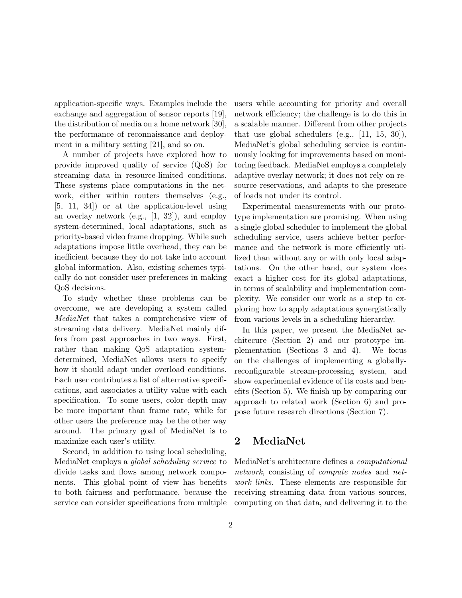application-specific ways. Examples include the exchange and aggregation of sensor reports [19], the distribution of media on a home network [30], the performance of reconnaissance and deployment in a military setting [21], and so on.

A number of projects have explored how to provide improved quality of service (QoS) for streaming data in resource-limited conditions. These systems place computations in the network, either within routers themselves (e.g., [5, 11, 34]) or at the application-level using an overlay network (e.g., [1, 32]), and employ system-determined, local adaptations, such as priority-based video frame dropping. While such adaptations impose little overhead, they can be inefficient because they do not take into account global information. Also, existing schemes typically do not consider user preferences in making QoS decisions.

To study whether these problems can be overcome, we are developing a system called MediaNet that takes a comprehensive view of streaming data delivery. MediaNet mainly differs from past approaches in two ways. First, rather than making QoS adaptation systemdetermined, MediaNet allows users to specify how it should adapt under overload conditions. Each user contributes a list of alternative specifications, and associates a utility value with each specification. To some users, color depth may be more important than frame rate, while for other users the preference may be the other way around. The primary goal of MediaNet is to maximize each user's utility.

Second, in addition to using local scheduling, MediaNet employs a global scheduling service to divide tasks and flows among network components. This global point of view has benefits to both fairness and performance, because the service can consider specifications from multiple users while accounting for priority and overall network efficiency; the challenge is to do this in a scalable manner. Different from other projects that use global schedulers (e.g., [11, 15, 30]), MediaNet's global scheduling service is continuously looking for improvements based on monitoring feedback. MediaNet employs a completely adaptive overlay network; it does not rely on resource reservations, and adapts to the presence of loads not under its control.

Experimental measurements with our prototype implementation are promising. When using a single global scheduler to implement the global scheduling service, users achieve better performance and the network is more efficiently utilized than without any or with only local adaptations. On the other hand, our system does exact a higher cost for its global adaptations, in terms of scalability and implementation complexity. We consider our work as a step to exploring how to apply adaptations synergistically from various levels in a scheduling hierarchy.

In this paper, we present the MediaNet architecure (Section 2) and our prototype implementation (Sections 3 and 4). We focus on the challenges of implementing a globallyreconfigurable stream-processing system, and show experimental evidence of its costs and benefits (Section 5). We finish up by comparing our approach to related work (Section 6) and propose future research directions (Section 7).

# 2 MediaNet

MediaNet's architecture defines a computational network, consisting of *compute nodes* and *net*work links. These elements are responsible for receiving streaming data from various sources, computing on that data, and delivering it to the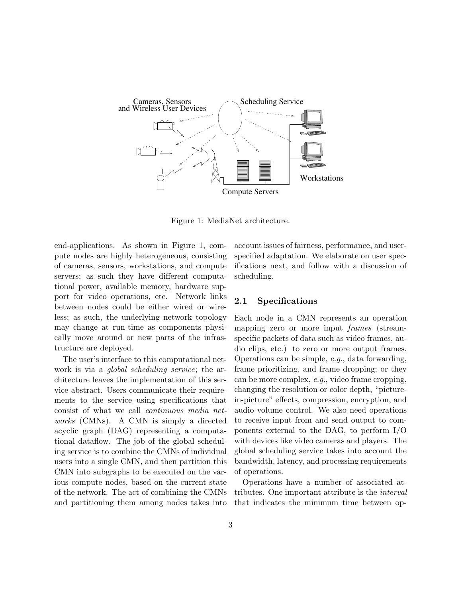

Figure 1: MediaNet architecture.

end-applications. As shown in Figure 1, compute nodes are highly heterogeneous, consisting of cameras, sensors, workstations, and compute servers; as such they have different computational power, available memory, hardware support for video operations, etc. Network links between nodes could be either wired or wireless; as such, the underlying network topology may change at run-time as components physically move around or new parts of the infrastructure are deployed.

The user's interface to this computational network is via a global scheduling service; the architecture leaves the implementation of this service abstract. Users communicate their requirements to the service using specifications that consist of what we call continuous media networks (CMNs). A CMN is simply a directed acyclic graph (DAG) representing a computational dataflow. The job of the global scheduling service is to combine the CMNs of individual users into a single CMN, and then partition this CMN into subgraphs to be executed on the various compute nodes, based on the current state of the network. The act of combining the CMNs and partitioning them among nodes takes into

account issues of fairness, performance, and userspecified adaptation. We elaborate on user specifications next, and follow with a discussion of scheduling.

#### 2.1 Specifications

Each node in a CMN represents an operation mapping zero or more input frames (streamspecific packets of data such as video frames, audio clips, etc.) to zero or more output frames. Operations can be simple, e.g., data forwarding, frame prioritizing, and frame dropping; or they can be more complex, e.g., video frame cropping, changing the resolution or color depth, "picturein-picture" effects, compression, encryption, and audio volume control. We also need operations to receive input from and send output to components external to the DAG, to perform I/O with devices like video cameras and players. The global scheduling service takes into account the bandwidth, latency, and processing requirements of operations.

Operations have a number of associated attributes. One important attribute is the interval that indicates the minimum time between op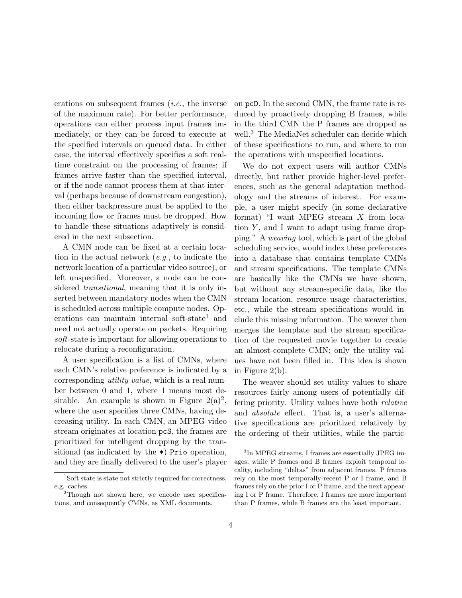erations on subsequent frames (i.e., the inverse of the maximum rate). For better performance, operations can either process input frames immediately, or they can be forced to execute at the specified intervals on queued data. In either case, the interval effectively specifies a soft realtime constraint on the processing of frames; if frames arrive faster than the specified interval, or if the node cannot process them at that interval (perhaps because of downstream congestion), then either backpressure must be applied to the incoming flow or frames must be dropped. How to handle these situations adaptively is considered in the next subsection.

A CMN node can be fixed at a certain location in the actual network (e.g., to indicate the network location of a particular video source), or left unspecified. Moreover, a node can be considered *transitional*, meaning that it is only inserted between mandatory nodes when the CMN is scheduled across multiple compute nodes. Operations can maintain internal soft-state<sup>1</sup> and need not actually operate on packets. Requiring soft-state is important for allowing operations to relocate during a reconfiguration.

A user specification is a list of CMNs, where each CMN's relative preference is indicated by a corresponding utility value, which is a real number between 0 and 1, where 1 means most desirable. An example is shown in Figure  $2(a)^2$ , where the user specifies three CMNs, having decreasing utility. In each CMN, an MPEG video stream originates at location pcS, the frames are prioritized for intelligent dropping by the transitional (as indicated by the \*) Prio operation, and they are finally delivered to the user's player

on pcD. In the second CMN, the frame rate is reduced by proactively dropping B frames, while in the third CMN the P frames are dropped as well.<sup>3</sup> The MediaNet scheduler can decide which of these specifications to run, and where to run the operations with unspecified locations.

We do not expect users will author CMNs directly, but rather provide higher-level preferences, such as the general adaptation methodology and the streams of interest. For example, a user might specify (in some declarative format) "I want MPEG stream X from location  $Y$ , and I want to adapt using frame dropping." A weaving tool, which is part of the global scheduling service, would index these preferences into a database that contains template CMNs and stream specifications. The template CMNs are basically like the CMNs we have shown, but without any stream-specific data, like the stream location, resource usage characteristics, etc., while the stream specifications would include this missing information. The weaver then merges the template and the stream specification of the requested movie together to create an almost-complete CMN; only the utility values have not been filled in. This idea is shown in Figure 2(b).

The weaver should set utility values to share resources fairly among users of potentially differing priority. Utility values have both relative and absolute effect. That is, a user's alternative specifications are prioritized relatively by the ordering of their utilities, while the partic-

<sup>&</sup>lt;sup>1</sup>Soft state is state not strictly required for correctness, e.g. caches.

<sup>&</sup>lt;sup>2</sup>Though not shown here, we encode user specifications, and consequently CMNs, as XML documents.

<sup>3</sup> In MPEG streams, I frames are essentially JPEG images, while P frames and B frames exploit temporal locality, including "deltas" from adjacent frames. P frames rely on the most temporally-recent P or I frame, and B frames rely on the prior I or P frame, and the next appearing I or P frame. Therefore, I frames are more important than P frames, while B frames are the least important.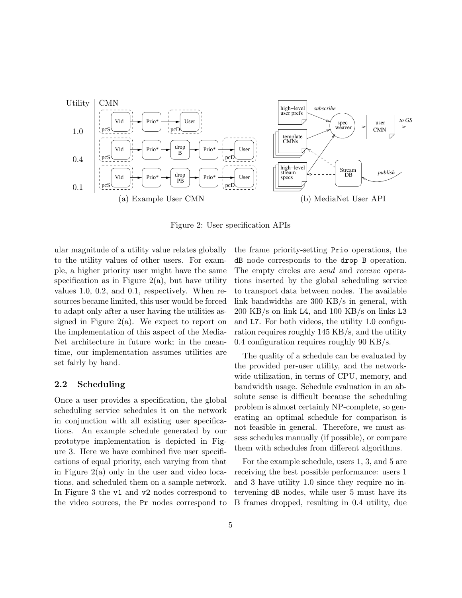

Figure 2: User specification APIs

ular magnitude of a utility value relates globally to the utility values of other users. For example, a higher priority user might have the same specification as in Figure 2(a), but have utility values 1.0, 0.2, and 0.1, respectively. When resources became limited, this user would be forced to adapt only after a user having the utilities assigned in Figure  $2(a)$ . We expect to report on the implementation of this aspect of the Media-Net architecture in future work; in the meantime, our implementation assumes utilities are set fairly by hand.

#### 2.2 Scheduling

Once a user provides a specification, the global scheduling service schedules it on the network in conjunction with all existing user specifications. An example schedule generated by our prototype implementation is depicted in Figure 3. Here we have combined five user specifications of equal priority, each varying from that in Figure  $2(a)$  only in the user and video locations, and scheduled them on a sample network. In Figure 3 the v1 and v2 nodes correspond to the video sources, the Pr nodes correspond to the frame priority-setting Prio operations, the dB node corresponds to the drop B operation. The empty circles are *send* and *receive* operations inserted by the global scheduling service to transport data between nodes. The available link bandwidths are 300 KB/s in general, with 200 KB/s on link L4, and 100 KB/s on links L3 and L7. For both videos, the utility 1.0 configuration requires roughly 145 KB/s, and the utility 0.4 configuration requires roughly 90 KB/s.

The quality of a schedule can be evaluated by the provided per-user utility, and the networkwide utilization, in terms of CPU, memory, and bandwidth usage. Schedule evaluation in an absolute sense is difficult because the scheduling problem is almost certainly NP-complete, so generating an optimal schedule for comparison is not feasible in general. Therefore, we must assess schedules manually (if possible), or compare them with schedules from different algorithms.

For the example schedule, users 1, 3, and 5 are receiving the best possible performance: users 1 and 3 have utility 1.0 since they require no intervening dB nodes, while user 5 must have its B frames dropped, resulting in 0.4 utility, due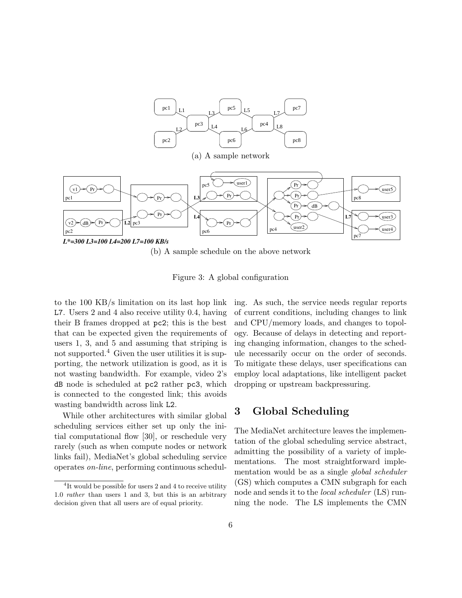

(b) A sample schedule on the above network

Figure 3: A global configuration

to the 100 KB/s limitation on its last hop link L7. Users 2 and 4 also receive utility 0.4, having their B frames dropped at pc2; this is the best that can be expected given the requirements of users 1, 3, and 5 and assuming that striping is not supported.<sup>4</sup> Given the user utilities it is supporting, the network utilization is good, as it is not wasting bandwidth. For example, video 2's dB node is scheduled at pc2 rather pc3, which is connected to the congested link; this avoids wasting bandwidth across link L2.

While other architectures with similar global scheduling services either set up only the initial computational flow [30], or reschedule very rarely (such as when compute nodes or network links fail), MediaNet's global scheduling service operates on-line, performing continuous scheduling. As such, the service needs regular reports of current conditions, including changes to link and CPU/memory loads, and changes to topology. Because of delays in detecting and reporting changing information, changes to the schedule necessarily occur on the order of seconds. To mitigate these delays, user specifications can employ local adaptations, like intelligent packet dropping or upstream backpressuring.

# 3 Global Scheduling

The MediaNet architecture leaves the implementation of the global scheduling service abstract, admitting the possibility of a variety of implementations. The most straightforward implementation would be as a single global scheduler (GS) which computes a CMN subgraph for each node and sends it to the local scheduler (LS) running the node. The LS implements the CMN

<sup>&</sup>lt;sup>4</sup>It would be possible for users 2 and 4 to receive utility 1.0 rather than users 1 and 3, but this is an arbitrary decision given that all users are of equal priority.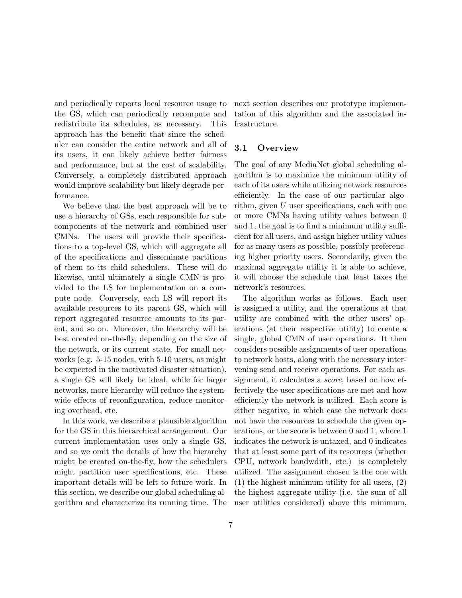and periodically reports local resource usage to the GS, which can periodically recompute and redistribute its schedules, as necessary. This approach has the benefit that since the scheduler can consider the entire network and all of its users, it can likely achieve better fairness and performance, but at the cost of scalability. Conversely, a completely distributed approach would improve scalability but likely degrade performance.

We believe that the best approach will be to use a hierarchy of GSs, each responsible for subcomponents of the network and combined user CMNs. The users will provide their specifications to a top-level GS, which will aggregate all of the specifications and disseminate partitions of them to its child schedulers. These will do likewise, until ultimately a single CMN is provided to the LS for implementation on a compute node. Conversely, each LS will report its available resources to its parent GS, which will report aggregated resource amounts to its parent, and so on. Moreover, the hierarchy will be best created on-the-fly, depending on the size of the network, or its current state. For small networks (e.g. 5-15 nodes, with 5-10 users, as might be expected in the motivated disaster situation), a single GS will likely be ideal, while for larger networks, more hierarchy will reduce the systemwide effects of reconfiguration, reduce monitoring overhead, etc.

In this work, we describe a plausible algorithm for the GS in this hierarchical arrangement. Our current implementation uses only a single GS, and so we omit the details of how the hierarchy might be created on-the-fly, how the schedulers might partition user specifications, etc. These important details will be left to future work. In this section, we describe our global scheduling algorithm and characterize its running time. The next section describes our prototype implementation of this algorithm and the associated infrastructure.

### 3.1 Overview

The goal of any MediaNet global scheduling algorithm is to maximize the minimum utility of each of its users while utilizing network resources efficiently. In the case of our particular algorithm, given  $U$  user specifications, each with one or more CMNs having utility values between 0 and 1, the goal is to find a minimum utility sufficient for all users, and assign higher utility values for as many users as possible, possibly preferencing higher priority users. Secondarily, given the maximal aggregate utility it is able to achieve, it will choose the schedule that least taxes the network's resources.

The algorithm works as follows. Each user is assigned a utility, and the operations at that utility are combined with the other users' operations (at their respective utility) to create a single, global CMN of user operations. It then considers possible assignments of user operations to network hosts, along with the necessary intervening send and receive operations. For each assignment, it calculates a *score*, based on how effectively the user specifications are met and how efficiently the network is utilized. Each score is either negative, in which case the network does not have the resources to schedule the given operations, or the score is between 0 and 1, where 1 indicates the network is untaxed, and 0 indicates that at least some part of its resources (whether CPU, network bandwdith, etc.) is completely utilized. The assignment chosen is the one with (1) the highest minimum utility for all users, (2) the highest aggregate utility (i.e. the sum of all user utilities considered) above this minimum,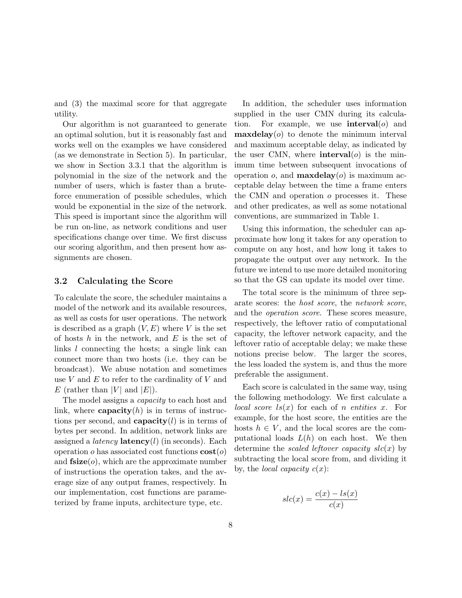and (3) the maximal score for that aggregate utility.

Our algorithm is not guaranteed to generate an optimal solution, but it is reasonably fast and works well on the examples we have considered (as we demonstrate in Section 5). In particular, we show in Section 3.3.1 that the algorithm is polynomial in the size of the network and the number of users, which is faster than a bruteforce enumeration of possible schedules, which would be exponential in the size of the network. This speed is important since the algorithm will be run on-line, as network conditions and user specifications change over time. We first discuss our scoring algorithm, and then present how assignments are chosen.

#### 3.2 Calculating the Score

To calculate the score, the scheduler maintains a model of the network and its available resources, as well as costs for user operations. The network is described as a graph  $(V, E)$  where V is the set of hosts h in the network, and  $E$  is the set of links l connecting the hosts; a single link can connect more than two hosts (i.e. they can be broadcast). We abuse notation and sometimes use  $V$  and  $E$  to refer to the cardinality of  $V$  and E (rather than |V| and  $|E|$ ).

The model assigns a *capacity* to each host and link, where **capacity** $(h)$  is in terms of instructions per second, and **capacity** $(l)$  is in terms of bytes per second. In addition, network links are assigned a *latency* **latency**(*l*) (in seconds). Each operation *o* has associated cost functions  $cost(o)$ and  $fsize(o)$ , which are the approximate number of instructions the operation takes, and the average size of any output frames, respectively. In our implementation, cost functions are parameterized by frame inputs, architecture type, etc.

In addition, the scheduler uses information supplied in the user CMN during its calculation. For example, we use **interval** $(o)$  and  $\mathbf{maxdelay}(o)$  to denote the minimum interval and maximum acceptable delay, as indicated by the user CMN, where **interval** $(o)$  is the minimum time between subsequent invocations of operation  $o$ , and **maxdelay** $(o)$  is maximum acceptable delay between the time a frame enters the CMN and operation o processes it. These and other predicates, as well as some notational conventions, are summarized in Table 1.

Using this information, the scheduler can approximate how long it takes for any operation to compute on any host, and how long it takes to propagate the output over any network. In the future we intend to use more detailed monitoring so that the GS can update its model over time.

The total score is the minimum of three separate scores: the host score, the network score, and the operation score. These scores measure, respectively, the leftover ratio of computational capacity, the leftover network capacity, and the leftover ratio of acceptable delay; we make these notions precise below. The larger the scores, the less loaded the system is, and thus the more preferable the assignment.

Each score is calculated in the same way, using the following methodology. We first calculate a local score  $ls(x)$  for each of n entities x. For example, for the host score, the entities are the hosts  $h \in V$ , and the local scores are the computational loads  $L(h)$  on each host. We then determine the scaled leftover capacity  $slc(x)$  by subtracting the local score from, and dividing it by, the *local capacity*  $c(x)$ :

$$
slc(x) = \frac{c(x) - ls(x)}{c(x)}
$$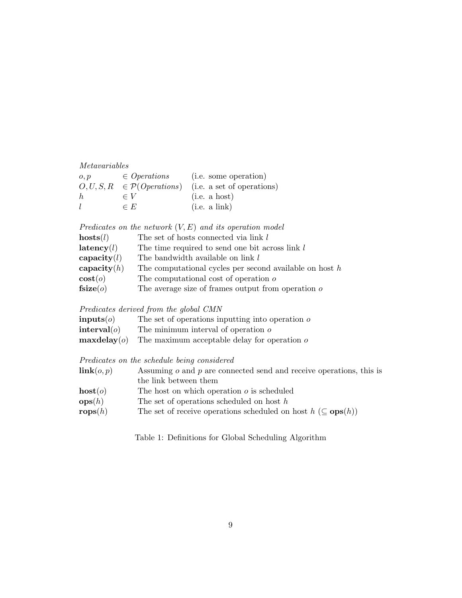## $\label{thm:2} Metavariables$

| o, p | $\in Operations$ | (i.e. some operation)                                               |
|------|------------------|---------------------------------------------------------------------|
|      |                  | $O, U, S, R \in \mathcal{P}(Operations)$ (i.e. a set of operations) |
| h    | $\in V$          | (i.e. a host)                                                       |
| L    | $\in E$          | (i.e. a link)                                                       |

Predicates on the network  $(V, E)$  and its operation model

| $\mathbf{hosts}(l)$ | The set of hosts connected via link l                     |
|---------------------|-----------------------------------------------------------|
| latency(l)          | The time required to send one bit across link l           |
| capacity $(l)$      | The bandwidth available on link l                         |
| capacity $(h)$      | The computational cycles per second available on host $h$ |
| $\textbf{cost}(o)$  | The computational cost of operation $o$                   |
| ${\bf fsize}(o)$    | The average size of frames output from operation $o$      |
|                     |                                                           |

# Predicates derived from the global CMN

| $\mathbf{inputs}(o)$ | The set of operations inputting into operation $o$  |
|----------------------|-----------------------------------------------------|
| interval(o)          | The minimum interval of operation $\rho$            |
| maxdelay(o)          | The maximum acceptable delay for operation $\sigma$ |

### Predicates on the schedule being considered

| $\mathbf{link}(o,p)$ | Assuming $o$ and $p$ are connected send and receive operations, this is              |
|----------------------|--------------------------------------------------------------------------------------|
|                      | the link between them                                                                |
| $\textbf{host}(o)$   | The host on which operation o is scheduled                                           |
| ops(h)               | The set of operations scheduled on host $h$                                          |
| $\mathbf{rops}(h)$   | The set of receive operations scheduled on host $h$ ( $\subseteq$ <b>ops</b> $(h)$ ) |
|                      |                                                                                      |

Table 1: Definitions for Global Scheduling Algorithm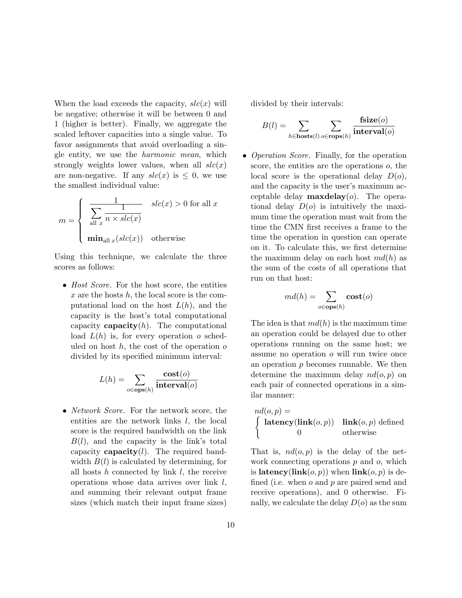When the load exceeds the capacity,  $slc(x)$  will be negative; otherwise it will be between 0 and 1 (higher is better). Finally, we aggregate the scaled leftover capacities into a single value. To favor assignments that avoid overloading a single entity, we use the harmonic mean, which strongly weights lower values, when all  $slc(x)$ are non-negative. If any  $slc(x)$  is  $\leq 0$ , we use the smallest individual value:

$$
m = \begin{cases} \frac{1}{\sum_{\text{all } x} \frac{1}{n \times \text{slc}(x)}} & \text{slc}(x) > 0 \text{ for all } x\\ \min_{x} (\text{slc}(x)) & \text{otherwise} \end{cases}
$$

Using this technique, we calculate the three scores as follows:

• *Host Score*. For the host score, the entities  $x$  are the hosts  $h$ , the local score is the computational load on the host  $L(h)$ , and the capacity is the host's total computational capacity  $\mathbf{capacity}(h)$ . The computational load  $L(h)$  is, for every operation o scheduled on host  $h$ , the cost of the operation  $o$ divided by its specified minimum interval:

$$
L(h) = \sum_{o \in \mathbf{ops}(h)} \frac{\mathbf{cost}(o)}{\mathbf{interval}(o)}
$$

• *Network Score*. For the network score, the entities are the network links l, the local score is the required bandwidth on the link  $B(l)$ , and the capacity is the link's total capacity **capacity**( $l$ ). The required bandwidth  $B(l)$  is calculated by determining, for all hosts  $h$  connected by link  $l$ , the receive operations whose data arrives over link  $l$ , and summing their relevant output frame sizes (which match their input frame sizes)

divided by their intervals:

$$
B(l) = \sum_{h \in \textbf{hosts}(l)} \sum_{o \in \textbf{rops}(h)} \frac{\textbf{fsize}(o)}{\textbf{interval}(o)}
$$

• *Operation Score.* Finally, for the operation score, the entities are the operations o, the local score is the operational delay  $D(o)$ , and the capacity is the user's maximum acceptable delay **maxdelay** $(o)$ . The operational delay  $D(o)$  is intuitively the maximum time the operation must wait from the time the CMN first receives a frame to the time the operation in question can operate on it. To calculate this, we first determine the maximum delay on each host  $md(h)$  as the sum of the costs of all operations that run on that host:

$$
md(h) = \sum_{o \in \mathbf{ops}(h)} \mathbf{cost}(o)
$$

The idea is that  $md(h)$  is the maximum time an operation could be delayed due to other operations running on the same host; we assume no operation o will run twice once an operation p becomes runnable. We then determine the maximum delay  $nd(o, p)$  on each pair of connected operations in a similar manner:

$$
nd(o, p) =
$$
  
\n
$$
\begin{cases}\n\textbf{latency}(\textbf{link}(o, p)) & \textbf{link}(o, p) \text{ defined} \\
0 & \text{otherwise}\n\end{cases}
$$

That is,  $nd(o, p)$  is the delay of the network connecting operations  $p$  and  $o$ , which is **latency**( $\text{link}(o, p)$ ) when  $\text{link}(o, p)$  is defined (i.e. when  $o$  and  $p$  are paired send and receive operations), and 0 otherwise. Finally, we calculate the delay  $D(o)$  as the sum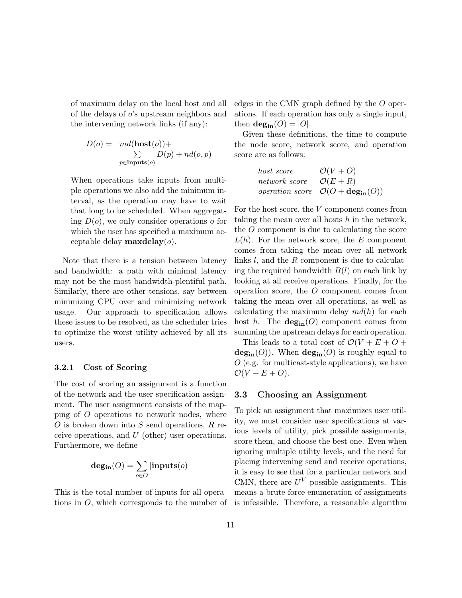of maximum delay on the local host and all of the delays of o's upstream neighbors and the intervening network links (if any):

$$
D(o) = md(\textbf{host}(o)) + \newline \sum_{p \in \textbf{inputs}(o)} D(p) + nd(o, p)
$$

When operations take inputs from multiple operations we also add the minimum interval, as the operation may have to wait that long to be scheduled. When aggregating  $D(\rho)$ , we only consider operations  $\rho$  for which the user has specified a maximum acceptable delay **maxdelay** $(o)$ .

Note that there is a tension between latency and bandwidth: a path with minimal latency may not be the most bandwidth-plentiful path. Similarly, there are other tensions, say between minimizing CPU over and minimizing network usage. Our approach to specification allows these issues to be resolved, as the scheduler tries to optimize the worst utility achieved by all its users.

#### 3.2.1 Cost of Scoring

The cost of scoring an assignment is a function of the network and the user specification assignment. The user assignment consists of the mapping of O operations to network nodes, where  $O$  is broken down into  $S$  send operations,  $R$  receive operations, and U (other) user operations. Furthermore, we define

$$
\mathbf{deg_{in}}(O) = \sum_{o \in O} |\mathbf{inputs}(o)|
$$

This is the total number of inputs for all operations in O, which corresponds to the number of edges in the CMN graph defined by the O operations. If each operation has only a single input, then  $deg_{in}(O) = |O|$ .

Given these definitions, the time to compute the node score, network score, and operation score are as follows:

| host score                       | $\mathcal{O}(V+O)$                                                  |
|----------------------------------|---------------------------------------------------------------------|
| network score $\mathcal{O}(E+R)$ |                                                                     |
|                                  | <i>operation score</i> $\mathcal{O}(O + \text{deg}_{\text{in}}(O))$ |

For the host score, the V component comes from taking the mean over all hosts  $h$  in the network, the O component is due to calculating the score  $L(h)$ . For the network score, the E component comes from taking the mean over all network links l, and the R component is due to calculating the required bandwidth  $B(l)$  on each link by looking at all receive operations. Finally, for the operation score, the O component comes from taking the mean over all operations, as well as calculating the maximum delay  $md(h)$  for each host h. The  $deg_{in}(O)$  component comes from summing the upstream delays for each operation.

This leads to a total cost of  $\mathcal{O}(V + E + O +$  $deg_{in}(O)$ . When  $deg_{in}(O)$  is roughly equal to O (e.g. for multicast-style applications), we have  $\mathcal{O}(V + E + O).$ 

### 3.3 Choosing an Assignment

To pick an assignment that maximizes user utility, we must consider user specifications at various levels of utility, pick possible assignments, score them, and choose the best one. Even when ignoring multiple utility levels, and the need for placing intervening send and receive operations, it is easy to see that for a particular network and CMN, there are  $U^V$  possible assignments. This means a brute force enumeration of assignments is infeasible. Therefore, a reasonable algorithm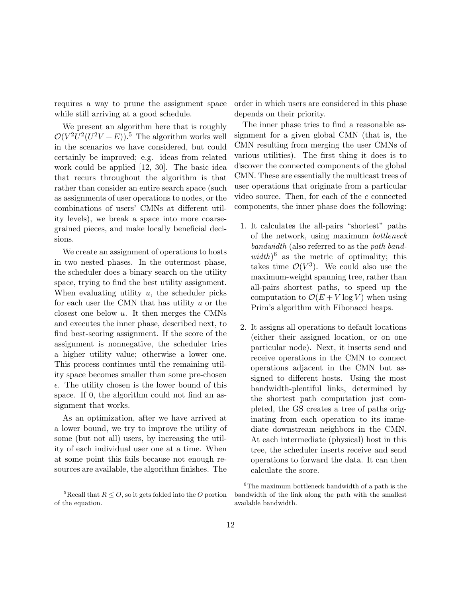requires a way to prune the assignment space while still arriving at a good schedule.

We present an algorithm here that is roughly  $\mathcal{O}(V^2U^2(V^2V+E))$ .<sup>5</sup> The algorithm works well in the scenarios we have considered, but could certainly be improved; e.g. ideas from related work could be applied [12, 30]. The basic idea that recurs throughout the algorithm is that rather than consider an entire search space (such as assignments of user operations to nodes, or the combinations of users' CMNs at different utility levels), we break a space into more coarsegrained pieces, and make locally beneficial decisions.

We create an assignment of operations to hosts in two nested phases. In the outermost phase, the scheduler does a binary search on the utility space, trying to find the best utility assignment. When evaluating utility  $u$ , the scheduler picks for each user the CMN that has utility  $u$  or the closest one below  $u$ . It then merges the CMNs and executes the inner phase, described next, to find best-scoring assignment. If the score of the assignment is nonnegative, the scheduler tries a higher utility value; otherwise a lower one. This process continues until the remaining utility space becomes smaller than some pre-chosen  $\epsilon$ . The utility chosen is the lower bound of this space. If 0, the algorithm could not find an assignment that works.

As an optimization, after we have arrived at a lower bound, we try to improve the utility of some (but not all) users, by increasing the utility of each individual user one at a time. When at some point this fails because not enough resources are available, the algorithm finishes. The order in which users are considered in this phase depends on their priority.

The inner phase tries to find a reasonable assignment for a given global CMN (that is, the CMN resulting from merging the user CMNs of various utilities). The first thing it does is to discover the connected components of the global CMN. These are essentially the multicast trees of user operations that originate from a particular video source. Then, for each of the c connected components, the inner phase does the following:

- 1. It calculates the all-pairs "shortest" paths of the network, using maximum bottleneck bandwidth (also referred to as the path band $width$ <sup>6</sup> as the metric of optimality; this takes time  $\mathcal{O}(V^3)$ . We could also use the maximum-weight spanning tree, rather than all-pairs shortest paths, to speed up the computation to  $\mathcal{O}(E+V \log V)$  when using Prim's algorithm with Fibonacci heaps.
- 2. It assigns all operations to default locations (either their assigned location, or on one particular node). Next, it inserts send and receive operations in the CMN to connect operations adjacent in the CMN but assigned to different hosts. Using the most bandwidth-plentiful links, determined by the shortest path computation just completed, the GS creates a tree of paths originating from each operation to its immediate downstream neighbors in the CMN. At each intermediate (physical) host in this tree, the scheduler inserts receive and send operations to forward the data. It can then calculate the score.

<sup>&</sup>lt;sup>5</sup>Recall that  $R \leq O$ , so it gets folded into the O portion of the equation.

<sup>6</sup>The maximum bottleneck bandwidth of a path is the bandwidth of the link along the path with the smallest available bandwidth.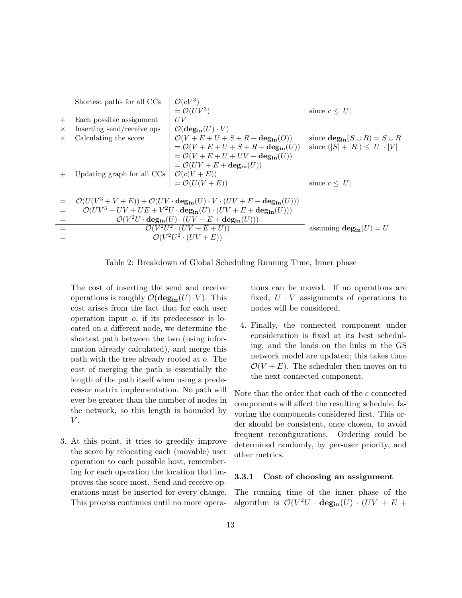

Table 2: Breakdown of Global Scheduling Running Time, Inner phase

The cost of inserting the send and receive operations is roughly  $\mathcal{O}(\text{deg}_{\text{in}}(U)\cdot V)$ . This cost arises from the fact that for each user operation input o, if its predecessor is located on a different node, we determine the shortest path between the two (using information already calculated), and merge this path with the tree already rooted at o. The cost of merging the path is essentially the length of the path itself when using a predecessor matrix implementation. No path will ever be greater than the number of nodes in the network, so this length is bounded by  $V$ .

3. At this point, it tries to greedily improve the score by relocating each (movable) user operation to each possible host, remembering for each operation the location that improves the score most. Send and receive operations must be inserted for every change. This process continues until no more operations can be moved. If no operations are fixed,  $U \cdot V$  assignments of operations to nodes will be considered.

4. Finally, the connected component under consideration is fixed at its best scheduling, and the loads on the links in the GS network model are updated; this takes time  $\mathcal{O}(V + E)$ . The scheduler then moves on to the next connected component.

Note that the order that each of the c connected components will affect the resulting schedule, favoring the components considered first. This order should be consistent, once chosen, to avoid frequent reconfigurations. Ordering could be determined randomly, by per-user priority, and other metrics.

### 3.3.1 Cost of choosing an assignment

The running time of the inner phase of the algorithm is  $\mathcal{O}(V^2U \cdot \text{deg}_{\text{in}}(U) \cdot (UV + E +$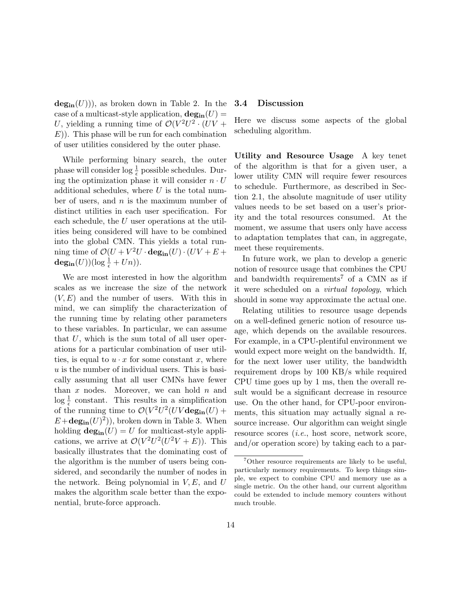$deg_{in}(U)$ , as broken down in Table 2. In the case of a multicast-style application,  $\deg_{\text{in}}(U)$  = U, yielding a running time of  $\mathcal{O}(V^2U^2 \cdot (UV +$  $E$ ). This phase will be run for each combination of user utilities considered by the outer phase.

While performing binary search, the outer phase will consider  $\log \frac{1}{\epsilon}$  possible schedules. During the optimization phase it will consider  $n \cdot U$ additional schedules, where  $U$  is the total number of users, and  $n$  is the maximum number of distinct utilities in each user specification. For each schedule, the U user operations at the utilities being considered will have to be combined into the global CMN. This yields a total running time of  $\mathcal{O}(U + V^2U \cdot \text{deg}_{\text{in}}(U) \cdot (UV + E +$  $deg_{\text{in}}(U))$ (log  $\frac{1}{\epsilon} + Un$ )).

We are most interested in how the algorithm scales as we increase the size of the network  $(V, E)$  and the number of users. With this in mind, we can simplify the characterization of the running time by relating other parameters to these variables. In particular, we can assume that  $U$ , which is the sum total of all user operations for a particular combination of user utilties, is equal to  $u \cdot x$  for some constant x, where  $u$  is the number of individual users. This is basically assuming that all user CMNs have fewer than  $x$  nodes. Moreover, we can hold  $n$  and  $\log \frac{1}{\epsilon}$  constant. This results in a simplification of the running time to  $\mathcal{O}(V^2U^2(UV \deg_{\text{in}}(U)) +$  $E + \mathbf{deg_{in}}(U)^2$ ), broken down in Table 3. When holding  $\deg_{\text{in}}(U) = U$  for multicast-style applications, we arrive at  $\mathcal{O}(V^2U^2(U^2V+E))$ . This basically illustrates that the dominating cost of the algorithm is the number of users being considered, and secondarily the number of nodes in the network. Being polynomial in  $V, E$ , and U makes the algorithm scale better than the exponential, brute-force approach.

#### 3.4 Discussion

Here we discuss some aspects of the global scheduling algorithm.

Utility and Resource Usage A key tenet of the algorithm is that for a given user, a lower utility CMN will require fewer resources to schedule. Furthermore, as described in Section 2.1, the absolute magnitude of user utility values needs to be set based on a user's priority and the total resources consumed. At the moment, we assume that users only have access to adaptation templates that can, in aggregate, meet these requirements.

In future work, we plan to develop a generic notion of resource usage that combines the CPU and bandwidth requirements<sup>7</sup> of a CMN as if it were scheduled on a virtual topology, which should in some way approximate the actual one.

Relating utilities to resource usage depends on a well-defined generic notion of resource usage, which depends on the available resources. For example, in a CPU-plentiful environment we would expect more weight on the bandwidth. If, for the next lower user utility, the bandwidth requirement drops by 100 KB/s while required CPU time goes up by 1 ms, then the overall result would be a significant decrease in resource use. On the other hand, for CPU-poor environments, this situation may actually signal a resource increase. Our algorithm can weight single resource scores (i.e., host score, network score, and/or operation score) by taking each to a par-

<sup>7</sup>Other resource requirements are likely to be useful, particularly memory requirements. To keep things simple, we expect to combine CPU and memory use as a single metric. On the other hand, our current algorithm could be extended to include memory counters without much trouble.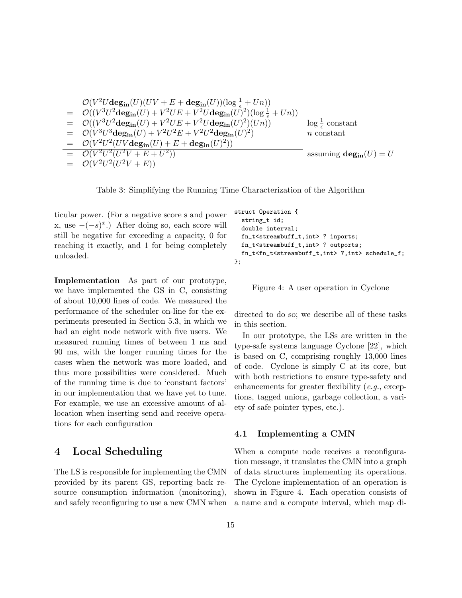$$
\mathcal{O}(V^2U\text{deg}_{\text{in}}(U)(UV + E + \text{deg}_{\text{in}}(U))(\log \frac{1}{\epsilon} + Un))
$$
\n
$$
= \mathcal{O}((V^3U^2\text{deg}_{\text{in}}(U) + V^2UE + V^2U\text{deg}_{\text{in}}(U)^2)(\log \frac{1}{\epsilon} + Un))
$$
\n
$$
= \mathcal{O}((V^3U^2\text{deg}_{\text{in}}(U) + V^2UE + V^2U\text{deg}_{\text{in}}(U)^2)(Un)) \qquad \log \frac{1}{\epsilon} \text{ constant}
$$
\n
$$
= \mathcal{O}(V^3U^3\text{deg}_{\text{in}}(U) + V^2U^2E + V^2U^2\text{deg}_{\text{in}}(U)^2) \qquad n \text{ constant}
$$
\n
$$
= \mathcal{O}(V^2U^2(UV\text{deg}_{\text{in}}(U) + E + \text{deg}_{\text{in}}(U)^2)) \qquad \text{assuming } \text{deg}_{\text{in}}(U) = U
$$

Table 3: Simplifying the Running Time Characterization of the Algorithm

ticular power. (For a negative score s and power  $x,$  use  $-(-s)^x$ .) After doing so, each score will still be negative for exceeding a capacity, 0 for reaching it exactly, and 1 for being completely unloaded.

Implementation As part of our prototype, we have implemented the GS in C, consisting of about 10,000 lines of code. We measured the performance of the scheduler on-line for the experiments presented in Section 5.3, in which we had an eight node network with five users. We measured running times of between 1 ms and 90 ms, with the longer running times for the cases when the network was more loaded, and thus more possibilities were considered. Much of the running time is due to 'constant factors' in our implementation that we have yet to tune. For example, we use an excessive amount of allocation when inserting send and receive operations for each configuration

# 4 Local Scheduling

The LS is responsible for implementing the CMN provided by its parent GS, reporting back resource consumption information (monitoring), and safely reconfiguring to use a new CMN when

```
struct Operation {
  string_t id;
  double interval;
  fn_t<streambuff_t,int> ? inports;
  fn_t<streambuff_t,int> ? outports;
  fn_t<fn_t<streambuff_t,int> ?,int> schedule_f;
};
```
Figure 4: A user operation in Cyclone

directed to do so; we describe all of these tasks in this section.

In our prototype, the LSs are written in the type-safe systems language Cyclone [22], which is based on C, comprising roughly 13,000 lines of code. Cyclone is simply C at its core, but with both restrictions to ensure type-safety and enhancements for greater flexibility  $(e.g., \csc p)$ tions, tagged unions, garbage collection, a variety of safe pointer types, etc.).

#### 4.1 Implementing a CMN

When a compute node receives a reconfiguration message, it translates the CMN into a graph of data structures implementing its operations. The Cyclone implementation of an operation is shown in Figure 4. Each operation consists of a name and a compute interval, which map di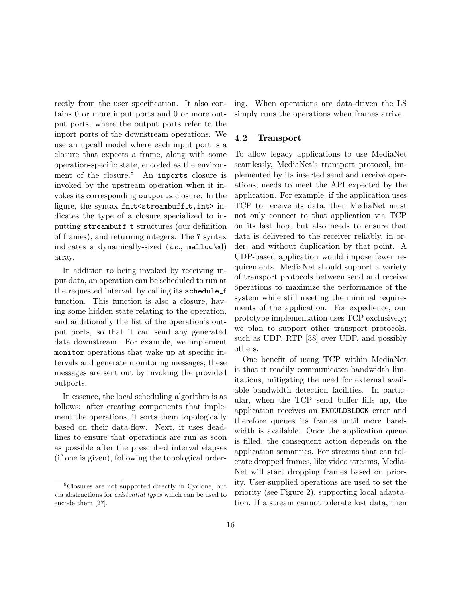rectly from the user specification. It also contains 0 or more input ports and 0 or more output ports, where the output ports refer to the inport ports of the downstream operations. We use an upcall model where each input port is a closure that expects a frame, along with some operation-specific state, encoded as the environment of the closure.<sup>8</sup> An inports closure is invoked by the upstream operation when it invokes its corresponding outports closure. In the figure, the syntax  $fn_t\text{-}t\text{-}s\text{-}t$  and  $f_t, int$  indicates the type of a closure specialized to inputting streambuff t structures (our definition of frames), and returning integers. The ? syntax indicates a dynamically-sized (i.e., malloc'ed) array.

In addition to being invoked by receiving input data, an operation can be scheduled to run at the requested interval, by calling its schedule f function. This function is also a closure, having some hidden state relating to the operation, and additionally the list of the operation's output ports, so that it can send any generated data downstream. For example, we implement monitor operations that wake up at specific intervals and generate monitoring messages; these messages are sent out by invoking the provided outports.

In essence, the local scheduling algorithm is as follows: after creating components that implement the operations, it sorts them topologically based on their data-flow. Next, it uses deadlines to ensure that operations are run as soon as possible after the prescribed interval elapses (if one is given), following the topological ordering. When operations are data-driven the LS simply runs the operations when frames arrive.

### 4.2 Transport

To allow legacy applications to use MediaNet seamlessly, MediaNet's transport protocol, implemented by its inserted send and receive operations, needs to meet the API expected by the application. For example, if the application uses TCP to receive its data, then MediaNet must not only connect to that application via TCP on its last hop, but also needs to ensure that data is delivered to the receiver reliably, in order, and without duplication by that point. A UDP-based application would impose fewer requirements. MediaNet should support a variety of transport protocols between send and receive operations to maximize the performance of the system while still meeting the minimal requirements of the application. For expedience, our prototype implementation uses TCP exclusively; we plan to support other transport protocols, such as UDP, RTP [38] over UDP, and possibly others.

One benefit of using TCP within MediaNet is that it readily communicates bandwidth limitations, mitigating the need for external available bandwidth detection facilities. In particular, when the TCP send buffer fills up, the application receives an EWOULDBLOCK error and therefore queues its frames until more bandwidth is available. Once the application queue is filled, the consequent action depends on the application semantics. For streams that can tolerate dropped frames, like video streams, Media-Net will start dropping frames based on priority. User-supplied operations are used to set the priority (see Figure 2), supporting local adaptation. If a stream cannot tolerate lost data, then

<sup>8</sup>Closures are not supported directly in Cyclone, but via abstractions for existential types which can be used to encode them [27].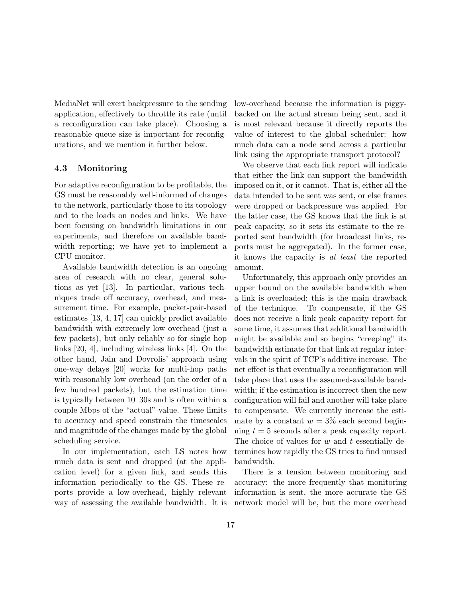MediaNet will exert backpressure to the sending application, effectively to throttle its rate (until a reconfiguration can take place). Choosing a reasonable queue size is important for reconfigurations, and we mention it further below.

### 4.3 Monitoring

For adaptive reconfiguration to be profitable, the GS must be reasonably well-informed of changes to the network, particularly those to its topology and to the loads on nodes and links. We have been focusing on bandwidth limitations in our experiments, and therefore on available bandwidth reporting; we have yet to implement a CPU monitor.

Available bandwidth detection is an ongoing area of research with no clear, general solutions as yet [13]. In particular, various techniques trade off accuracy, overhead, and measurement time. For example, packet-pair-based estimates [13, 4, 17] can quickly predict available bandwidth with extremely low overhead (just a few packets), but only reliably so for single hop links [20, 4], including wireless links [4]. On the other hand, Jain and Dovrolis' approach using one-way delays [20] works for multi-hop paths with reasonably low overhead (on the order of a few hundred packets), but the estimation time is typically between 10–30s and is often within a couple Mbps of the "actual" value. These limits to accuracy and speed constrain the timescales and magnitude of the changes made by the global scheduling service.

In our implementation, each LS notes how much data is sent and dropped (at the application level) for a given link, and sends this information periodically to the GS. These reports provide a low-overhead, highly relevant way of assessing the available bandwidth. It is low-overhead because the information is piggybacked on the actual stream being sent, and it is most relevant because it directly reports the value of interest to the global scheduler: how much data can a node send across a particular link using the appropriate transport protocol?

We observe that each link report will indicate that either the link can support the bandwidth imposed on it, or it cannot. That is, either all the data intended to be sent was sent, or else frames were dropped or backpressure was applied. For the latter case, the GS knows that the link is at peak capacity, so it sets its estimate to the reported sent bandwidth (for broadcast links, reports must be aggregated). In the former case, it knows the capacity is at least the reported amount.

Unfortunately, this approach only provides an upper bound on the available bandwidth when a link is overloaded; this is the main drawback of the technique. To compensate, if the GS does not receive a link peak capacity report for some time, it assumes that additional bandwidth might be available and so begins "creeping" its bandwidth estimate for that link at regular intervals in the spirit of TCP's additive increase. The net effect is that eventually a reconfiguration will take place that uses the assumed-available bandwidth; if the estimation is incorrect then the new configuration will fail and another will take place to compensate. We currently increase the estimate by a constant  $w = 3\%$  each second beginning  $t = 5$  seconds after a peak capacity report. The choice of values for  $w$  and  $t$  essentially determines how rapidly the GS tries to find unused bandwidth.

There is a tension between monitoring and accuracy: the more frequently that monitoring information is sent, the more accurate the GS network model will be, but the more overhead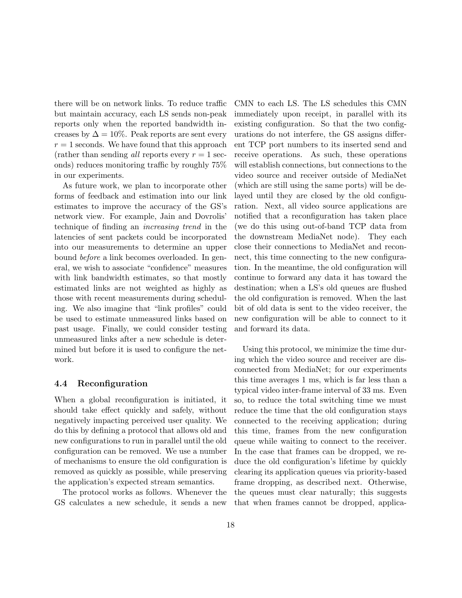there will be on network links. To reduce traffic but maintain accuracy, each LS sends non-peak reports only when the reported bandwidth increases by  $\Delta = 10\%$ . Peak reports are sent every  $r = 1$  seconds. We have found that this approach (rather than sending all reports every  $r = 1$  seconds) reduces monitoring traffic by roughly 75% in our experiments.

As future work, we plan to incorporate other forms of feedback and estimation into our link estimates to improve the accuracy of the GS's network view. For example, Jain and Dovrolis' technique of finding an increasing trend in the latencies of sent packets could be incorporated into our measurements to determine an upper bound before a link becomes overloaded. In general, we wish to associate "confidence" measures with link bandwidth estimates, so that mostly estimated links are not weighted as highly as those with recent measurements during scheduling. We also imagine that "link profiles" could be used to estimate unmeasured links based on past usage. Finally, we could consider testing unmeasured links after a new schedule is determined but before it is used to configure the network.

#### 4.4 Reconfiguration

When a global reconfiguration is initiated, it should take effect quickly and safely, without negatively impacting perceived user quality. We do this by defining a protocol that allows old and new configurations to run in parallel until the old configuration can be removed. We use a number of mechanisms to ensure the old configuration is removed as quickly as possible, while preserving the application's expected stream semantics.

The protocol works as follows. Whenever the GS calculates a new schedule, it sends a new

CMN to each LS. The LS schedules this CMN immediately upon receipt, in parallel with its existing configuration. So that the two configurations do not interfere, the GS assigns different TCP port numbers to its inserted send and receive operations. As such, these operations will establish connections, but connections to the video source and receiver outside of MediaNet (which are still using the same ports) will be delayed until they are closed by the old configuration. Next, all video source applications are notified that a reconfiguration has taken place (we do this using out-of-band TCP data from the downstream MediaNet node). They each close their connections to MediaNet and reconnect, this time connecting to the new configuration. In the meantime, the old configuration will continue to forward any data it has toward the destination; when a LS's old queues are flushed the old configuration is removed. When the last bit of old data is sent to the video receiver, the new configuration will be able to connect to it and forward its data.

Using this protocol, we minimize the time during which the video source and receiver are disconnected from MediaNet; for our experiments this time averages 1 ms, which is far less than a typical video inter-frame interval of 33 ms. Even so, to reduce the total switching time we must reduce the time that the old configuration stays connected to the receiving application; during this time, frames from the new configuration queue while waiting to connect to the receiver. In the case that frames can be dropped, we reduce the old configuration's lifetime by quickly clearing its application queues via priority-based frame dropping, as described next. Otherwise, the queues must clear naturally; this suggests that when frames cannot be dropped, applica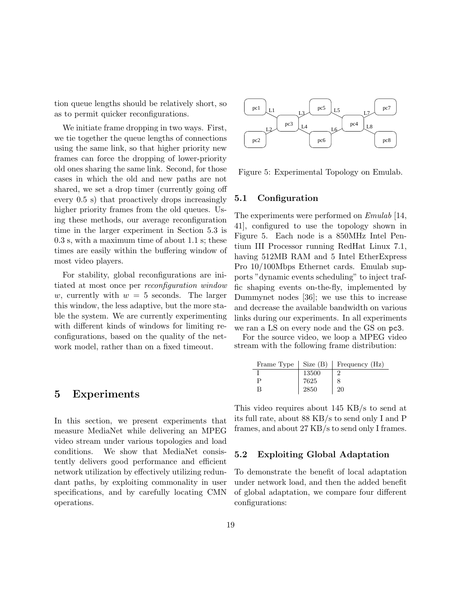tion queue lengths should be relatively short, so as to permit quicker reconfigurations.

We initiate frame dropping in two ways. First, we tie together the queue lengths of connections using the same link, so that higher priority new frames can force the dropping of lower-priority old ones sharing the same link. Second, for those cases in which the old and new paths are not shared, we set a drop timer (currently going off every 0.5 s) that proactively drops increasingly higher priority frames from the old queues. Using these methods, our average reconfiguration time in the larger experiment in Section 5.3 is 0.3 s, with a maximum time of about 1.1 s; these times are easily within the buffering window of most video players.

For stability, global reconfigurations are initiated at most once per reconfiguration window w, currently with  $w = 5$  seconds. The larger this window, the less adaptive, but the more stable the system. We are currently experimenting with different kinds of windows for limiting reconfigurations, based on the quality of the network model, rather than on a fixed timeout.

## 5 Experiments

In this section, we present experiments that measure MediaNet while delivering an MPEG video stream under various topologies and load conditions. We show that MediaNet consistently delivers good performance and efficient network utilization by effectively utilizing redundant paths, by exploiting commonality in user specifications, and by carefully locating CMN operations.



Figure 5: Experimental Topology on Emulab.

#### 5.1 Configuration

The experiments were performed on Emulab [14, 41], configured to use the topology shown in Figure 5. Each node is a 850MHz Intel Pentium III Processor running RedHat Linux 7.1, having 512MB RAM and 5 Intel EtherExpress Pro 10/100Mbps Ethernet cards. Emulab supports "dynamic events scheduling" to inject traffic shaping events on-the-fly, implemented by Dummynet nodes [36]; we use this to increase and decrease the available bandwidth on various links during our experiments. In all experiments we ran a LS on every node and the GS on pc3.

For the source video, we loop a MPEG video stream with the following frame distribution:

| Frame Type |       | Size $(B)$ Frequency $(Hz)$ |
|------------|-------|-----------------------------|
|            | 13500 |                             |
|            | 7625  |                             |
| R          | 2850  | 20                          |

This video requires about 145 KB/s to send at its full rate, about 88 KB/s to send only I and P frames, and about 27 KB/s to send only I frames.

### 5.2 Exploiting Global Adaptation

To demonstrate the benefit of local adaptation under network load, and then the added benefit of global adaptation, we compare four different configurations: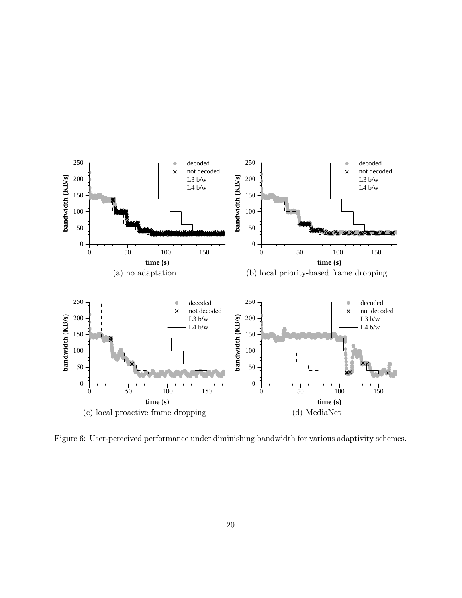

Figure 6: User-perceived performance under diminishing bandwidth for various adaptivity schemes.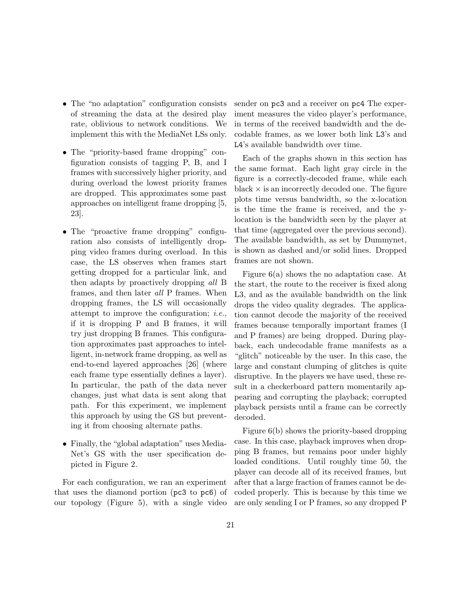- The "no adaptation" configuration consists of streaming the data at the desired play rate, oblivious to network conditions. We implement this with the MediaNet LSs only.
- The "priority-based frame dropping" configuration consists of tagging P, B, and I frames with successively higher priority, and during overload the lowest priority frames are dropped. This approximates some past approaches on intelligent frame dropping [5, 23].
- The "proactive frame dropping" configuration also consists of intelligently dropping video frames during overload. In this case, the LS observes when frames start getting dropped for a particular link, and then adapts by proactively dropping all B frames, and then later all P frames. When dropping frames, the LS will occasionally attempt to improve the configuration; i.e., if it is dropping P and B frames, it will try just dropping B frames. This configuration approximates past approaches to intelligent, in-network frame dropping, as well as end-to-end layered approaches [26] (where each frame type essentially defines a layer). In particular, the path of the data never changes, just what data is sent along that path. For this experiment, we implement this approach by using the GS but preventing it from choosing alternate paths.
- Finally, the "global adaptation" uses Media-Net's GS with the user specification depicted in Figure 2.

For each configuration, we ran an experiment that uses the diamond portion (pc3 to pc6) of our topology (Figure 5), with a single video

sender on pc3 and a receiver on pc4 The experiment measures the video player's performance, in terms of the received bandwidth and the decodable frames, as we lower both link L3's and L4's available bandwidth over time.

Each of the graphs shown in this section has the same format. Each light gray circle in the figure is a correctly-decoded frame, while each black  $\times$  is an incorrectly decoded one. The figure plots time versus bandwidth, so the x-location is the time the frame is received, and the ylocation is the bandwidth seen by the player at that time (aggregated over the previous second). The available bandwidth, as set by Dummynet, is shown as dashed and/or solid lines. Dropped frames are not shown.

Figure 6(a) shows the no adaptation case. At the start, the route to the receiver is fixed along L3, and as the available bandwidth on the link drops the video quality degrades. The application cannot decode the majority of the received frames because temporally important frames (I and P frames) are being dropped. During playback, each undecodable frame manifests as a "glitch" noticeable by the user. In this case, the large and constant clumping of glitches is quite disruptive. In the players we have used, these result in a checkerboard pattern momentarily appearing and corrupting the playback; corrupted playback persists until a frame can be correctly decoded.

Figure 6(b) shows the priority-based dropping case. In this case, playback improves when dropping B frames, but remains poor under highly loaded conditions. Until roughly time 50, the player can decode all of its received frames, but after that a large fraction of frames cannot be decoded properly. This is because by this time we are only sending I or P frames, so any dropped P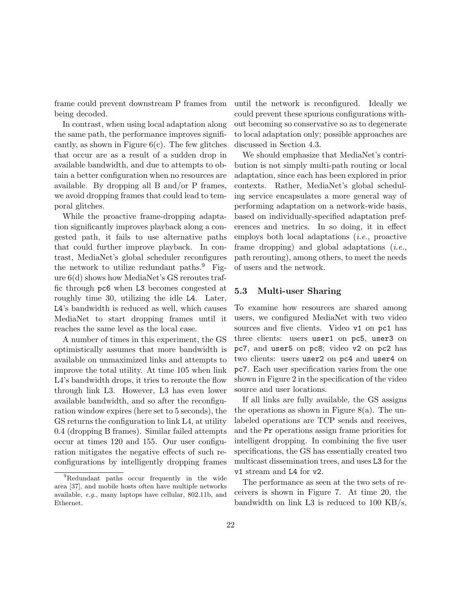frame could prevent downstream P frames from being decoded.

In contrast, when using local adaptation along the same path, the performance improves significantly, as shown in Figure  $6(c)$ . The few glitches that occur are as a result of a sudden drop in available bandwidth, and due to attempts to obtain a better configuration when no resources are available. By dropping all B and/or P frames, we avoid dropping frames that could lead to temporal glitches.

While the proactive frame-dropping adaptation significantly improves playback along a congested path, it fails to use alternative paths that could further improve playback. In contrast, MediaNet's global scheduler reconfigures the network to utilize redundant paths. $9$  Figure 6(d) shows how MediaNet's GS reroutes traffic through pc6 when L3 becomes congested at roughly time 30, utilizing the idle L4. Later, L4's bandwidth is reduced as well, which causes MediaNet to start dropping frames until it reaches the same level as the local case.

A number of times in this experiment, the GS optimistically assumes that more bandwidth is available on unmaximized links and attempts to improve the total utility. At time 105 when link L4's bandwidth drops, it tries to reroute the flow through link L3. However, L3 has even lower available bandwidth, and so after the reconfiguration window expires (here set to 5 seconds), the GS returns the configuration to link L4, at utility 0.4 (dropping B frames). Similar failed attempts occur at times 120 and 155. Our user configuration mitigates the negative effects of such reconfigurations by intelligently dropping frames

until the network is reconfigured. Ideally we could prevent these spurious configurations without becoming so conservative so as to degenerate to local adaptation only; possible approaches are discussed in Section 4.3.

We should emphasize that MediaNet's contribution is not simply multi-path routing or local adaptation, since each has been explored in prior contexts. Rather, MediaNet's global scheduling service encapsulates a more general way of performing adaptation on a network-wide basis, based on individually-specified adaptation preferences and metrics. In so doing, it in effect employs both local adaptations (i.e., proactive frame dropping) and global adaptations  $(i.e.,$ path rerouting), among others, to meet the needs of users and the network.

### 5.3 Multi-user Sharing

To examine how resources are shared among users, we configured MediaNet with two video sources and five clients. Video v1 on pc1 has three clients: users user1 on pc5, user3 on pc7, and user5 on pc8; video v2 on pc2 has two clients: users user2 on pc4 and user4 on pc7. Each user specification varies from the one shown in Figure 2 in the specification of the video source and user locations.

If all links are fully available, the GS assigns the operations as shown in Figure 8(a). The unlabeled operations are TCP sends and receives, and the Pr operations assign frame priorities for intelligent dropping. In combining the five user specifications, the GS has essentially created two multicast dissemination trees, and uses L3 for the v1 stream and L4 for v2.

The performance as seen at the two sets of receivers is shown in Figure 7. At time 20, the bandwidth on link L3 is reduced to 100 KB/s,

<sup>9</sup>Redundant paths occur frequently in the wide area [37], and mobile hosts often have multiple networks available, e.g., many laptops have cellular, 802.11b, and Ethernet.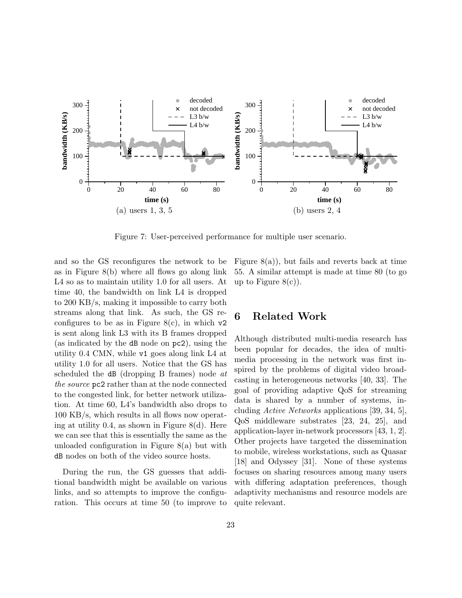

Figure 7: User-perceived performance for multiple user scenario.

and so the GS reconfigures the network to be as in Figure 8(b) where all flows go along link L4 so as to maintain utility 1.0 for all users. At time 40, the bandwidth on link L4 is dropped to 200 KB/s, making it impossible to carry both streams along that link. As such, the GS reconfigures to be as in Figure 8(c), in which  $v2$ is sent along link L3 with its B frames dropped (as indicated by the dB node on pc2), using the utility 0.4 CMN, while v1 goes along link L4 at utility 1.0 for all users. Notice that the GS has scheduled the dB (dropping B frames) node at the source pc2 rather than at the node connected to the congested link, for better network utilization. At time 60, L4's bandwidth also drops to 100 KB/s, which results in all flows now operating at utility 0.4, as shown in Figure 8(d). Here we can see that this is essentially the same as the unloaded configuration in Figure 8(a) but with dB nodes on both of the video source hosts.

During the run, the GS guesses that additional bandwidth might be available on various links, and so attempts to improve the configuration. This occurs at time 50 (to improve to Figure  $8(a)$ , but fails and reverts back at time 55. A similar attempt is made at time 80 (to go up to Figure  $8(c)$ ).

# 6 Related Work

Although distributed multi-media research has been popular for decades, the idea of multimedia processing in the network was first inspired by the problems of digital video broadcasting in heterogeneous networks [40, 33]. The goal of providing adaptive QoS for streaming data is shared by a number of systems, including Active Networks applications [39, 34, 5], QoS middleware substrates [23, 24, 25], and application-layer in-network processors [43, 1, 2]. Other projects have targeted the dissemination to mobile, wireless workstations, such as Quasar [18] and Odyssey [31]. None of these systems focuses on sharing resources among many users with differing adaptation preferences, though adaptivity mechanisms and resource models are quite relevant.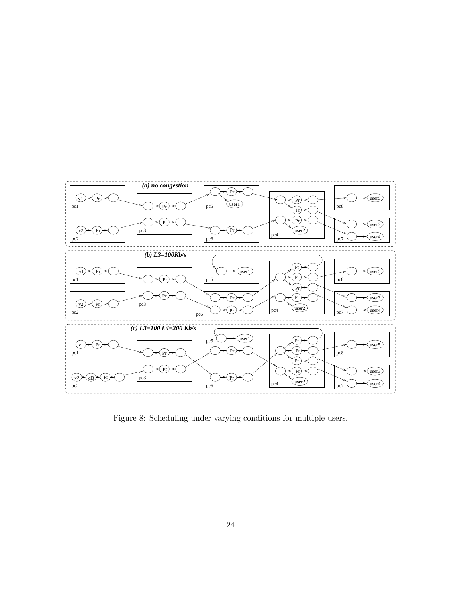

Figure 8: Scheduling under varying conditions for multiple users.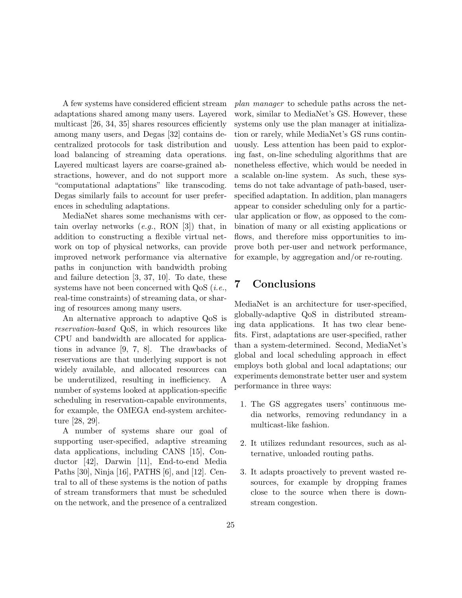A few systems have considered efficient stream adaptations shared among many users. Layered multicast [26, 34, 35] shares resources efficiently among many users, and Degas [32] contains decentralized protocols for task distribution and load balancing of streaming data operations. Layered multicast layers are coarse-grained abstractions, however, and do not support more "computational adaptations" like transcoding. Degas similarly fails to account for user preferences in scheduling adaptations.

MediaNet shares some mechanisms with certain overlay networks  $(e.g., RON [3])$  that, in addition to constructing a flexible virtual network on top of physical networks, can provide improved network performance via alternative paths in conjunction with bandwidth probing and failure detection [3, 37, 10]. To date, these systems have not been concerned with  $QoS$  (*i.e.*, real-time constraints) of streaming data, or sharing of resources among many users.

An alternative approach to adaptive QoS is reservation-based QoS, in which resources like CPU and bandwidth are allocated for applications in advance [9, 7, 8]. The drawbacks of reservations are that underlying support is not widely available, and allocated resources can be underutilized, resulting in inefficiency. A number of systems looked at application-specific scheduling in reservation-capable environments, for example, the OMEGA end-system architecture [28, 29].

A number of systems share our goal of supporting user-specified, adaptive streaming data applications, including CANS [15], Conductor [42], Darwin [11], End-to-end Media Paths [30], Ninja [16], PATHS [6], and [12]. Central to all of these systems is the notion of paths of stream transformers that must be scheduled on the network, and the presence of a centralized

plan manager to schedule paths across the network, similar to MediaNet's GS. However, these systems only use the plan manager at initialization or rarely, while MediaNet's GS runs continuously. Less attention has been paid to exploring fast, on-line scheduling algorithms that are nonetheless effective, which would be needed in a scalable on-line system. As such, these systems do not take advantage of path-based, userspecified adaptation. In addition, plan managers appear to consider scheduling only for a particular application or flow, as opposed to the combination of many or all existing applications or flows, and therefore miss opportunities to improve both per-user and network performance, for example, by aggregation and/or re-routing.

# 7 Conclusions

MediaNet is an architecture for user-specified, globally-adaptive QoS in distributed streaming data applications. It has two clear benefits. First, adaptations are user-specified, rather than a system-determined. Second, MediaNet's global and local scheduling approach in effect employs both global and local adaptations; our experiments demonstrate better user and system performance in three ways:

- 1. The GS aggregates users' continuous media networks, removing redundancy in a multicast-like fashion.
- 2. It utilizes redundant resources, such as alternative, unloaded routing paths.
- 3. It adapts proactively to prevent wasted resources, for example by dropping frames close to the source when there is downstream congestion.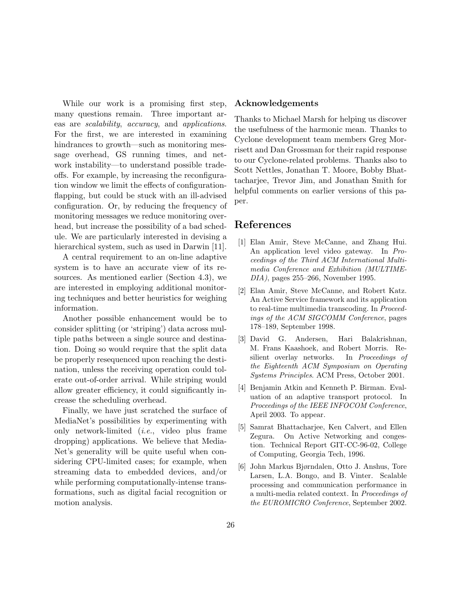While our work is a promising first step, many questions remain. Three important areas are scalability, accuracy, and applications. For the first, we are interested in examining hindrances to growth—such as monitoring message overhead, GS running times, and network instability—to understand possible tradeoffs. For example, by increasing the reconfiguration window we limit the effects of configurationflapping, but could be stuck with an ill-advised configuration. Or, by reducing the frequency of monitoring messages we reduce monitoring overhead, but increase the possibility of a bad schedule. We are particularly interested in devising a hierarchical system, such as used in Darwin [11].

A central requirement to an on-line adaptive system is to have an accurate view of its resources. As mentioned earlier (Section 4.3), we are interested in employing additional monitoring techniques and better heuristics for weighing information.

Another possible enhancement would be to consider splitting (or 'striping') data across multiple paths between a single source and destination. Doing so would require that the split data be properly resequenced upon reaching the destination, unless the receiving operation could tolerate out-of-order arrival. While striping would allow greater efficiency, it could significantly increase the scheduling overhead.

Finally, we have just scratched the surface of MediaNet's possibilities by experimenting with only network-limited (i.e., video plus frame dropping) applications. We believe that Media-Net's generality will be quite useful when considering CPU-limited cases; for example, when streaming data to embedded devices, and/or while performing computationally-intense transformations, such as digital facial recognition or motion analysis.

#### Acknowledgements

Thanks to Michael Marsh for helping us discover the usefulness of the harmonic mean. Thanks to Cyclone development team members Greg Morrisett and Dan Grossman for their rapid response to our Cyclone-related problems. Thanks also to Scott Nettles, Jonathan T. Moore, Bobby Bhattacharjee, Trevor Jim, and Jonathan Smith for helpful comments on earlier versions of this paper.

# References

- [1] Elan Amir, Steve McCanne, and Zhang Hui. An application level video gateway. In Proceedings of the Third ACM International Multimedia Conference and Exhibition (MULTIME-DIA), pages 255–266, November 1995.
- [2] Elan Amir, Steve McCanne, and Robert Katz. An Active Service framework and its application to real-time multimedia transcoding. In Proceedings of the ACM SIGCOMM Conference, pages 178–189, September 1998.
- [3] David G. Andersen, Hari Balakrishnan, M. Frans Kaashoek, and Robert Morris. Resilient overlay networks. In Proceedings of the Eighteenth ACM Symposium on Operating Systems Principles. ACM Press, October 2001.
- [4] Benjamin Atkin and Kenneth P. Birman. Evaluation of an adaptive transport protocol. In Proceedings of the IEEE INFOCOM Conference, April 2003. To appear.
- [5] Samrat Bhattacharjee, Ken Calvert, and Ellen Zegura. On Active Networking and congestion. Technical Report GIT-CC-96-02, College of Computing, Georgia Tech, 1996.
- [6] John Markus Bjørndalen, Otto J. Anshus, Tore Larsen, L.A. Bongo, and B. Vinter. Scalable processing and communication performance in a multi-media related context. In Proceedings of the EUROMICRO Conference, September 2002.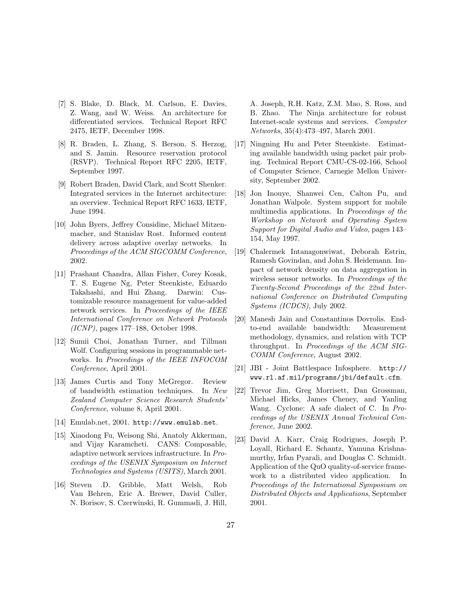- [7] S. Blake, D. Black, M. Carlson, E. Davies, Z. Wang, and W. Weiss. An architecture for differentiated services. Technical Report RFC 2475, IETF, December 1998.
- [8] R. Braden, L. Zhang, S. Berson, S. Herzog, and S. Jamin. Resource reservation protocol (RSVP). Technical Report RFC 2205, IETF, September 1997.
- [9] Robert Braden, David Clark, and Scott Shenker. Integrated services in the Internet architecture: an overview. Technical Report RFC 1633, IETF, June 1994.
- [10] John Byers, Jeffrey Considine, Michael Mitzenmacher, and Stanislav Rost. Informed content delivery across adaptive overlay networks. In Proceedings of the ACM SIGCOMM Conference, 2002.
- [11] Prashant Chandra, Allan Fisher, Corey Kosak, T. S. Eugene Ng, Peter Steenkiste, Eduardo Takahashi, and Hui Zhang. Darwin: Customizable resource management for value-added network services. In Proceedings of the IEEE International Conference on Network Protocols (ICNP), pages 177–188, October 1998.
- [12] Sumii Choi, Jonathan Turner, and Tillman Wolf. Configuring sessions in programmable networks. In Proceedings of the IEEE INFOCOM Conference, April 2001.
- [13] James Curtis and Tony McGregor. Review of bandwidth estimation techniques. In New Zealand Computer Science Research Students' Conference, volume 8, April 2001.
- [14] Emulab.net, 2001. http://www.emulab.net.
- [15] Xiaodong Fu, Weisong Shi, Anatoly Akkerman, and Vijay Karamcheti. CANS: Composable, adaptive network services infrastructure. In Proceedings of the USENIX Symposium on Internet Technologies and Systems (USITS), March 2001.
- [16] Steven .D. Gribble, Matt Welsh, Rob Van Behren, Eric A. Brewer, David Culler, N. Borisov, S. Czerwinski, R. Gummadi, J. Hill,

A. Joseph, R.H. Katz, Z.M. Mao, S. Ross, and B. Zhao. The Ninja architecture for robust Internet-scale systems and services. Computer Networks, 35(4):473–497, March 2001.

- [17] Ningning Hu and Peter Steenkiste. Estimating available bandwidth using packet pair probing. Technical Report CMU-CS-02-166, School of Computer Science, Carnegie Mellon University, September 2002.
- [18] Jon Inouye, Shanwei Cen, Calton Pu, and Jonathan Walpole. System support for mobile multimedia applications. In Proceedings of the Workshop on Network and Operating System Support for Digital Audio and Video, pages 143– 154, May 1997.
- [19] Chalermek Intanagonwiwat, Deborah Estrin, Ramesh Govindan, and John S. Heidemann. Impact of network density on data aggregation in wireless sensor networks. In Proceedings of the Twenty-Second Proceedings of the 22nd International Conference on Distributed Computing Systems (ICDCS), July 2002.
- [20] Manesh Jain and Constantinos Dovrolis. Endto-end available bandwidth: Measurement methodology, dynamics, and relation with TCP throughput. In Proceedings of the ACM SIG-COMM Conference, August 2002.
- [21] JBI Joint Battlespace Infosphere. http:// www.rl.af.mil/programs/jbi/default.cfm.
- [22] Trevor Jim, Greg Morrisett, Dan Grossman, Michael Hicks, James Cheney, and Yanling Wang. Cyclone: A safe dialect of C. In Proceedings of the USENIX Annual Technical Conference, June 2002.
- [23] David A. Karr, Craig Rodrigues, Joseph P. Loyall, Richard E. Schantz, Yamuna Krishnamurthy, Irfan Pyarali, and Douglas C. Schmidt. Application of the QuO quality-of-service framework to a distributed video application. In Proceedings of the International Symposium on Distributed Objects and Applications, September 2001.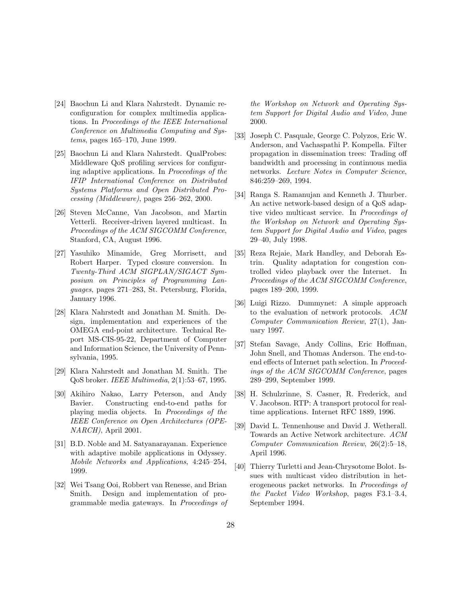- [24] Baochun Li and Klara Nahrstedt. Dynamic reconfiguration for complex multimedia applications. In Proceedings of the IEEE International Conference on Multimedia Computing and Systems, pages 165–170, June 1999.
- [25] Baochun Li and Klara Nahrstedt. QualProbes: Middleware QoS profiling services for configuring adaptive applications. In Proceedings of the IFIP International Conference on Distributed Systems Platforms and Open Distributed Processing (Middleware), pages 256–262, 2000.
- [26] Steven McCanne, Van Jacobson, and Martin Vetterli. Receiver-driven layered multicast. In Proceedings of the ACM SIGCOMM Conference, Stanford, CA, August 1996.
- [27] Yasuhiko Minamide, Greg Morrisett, and Robert Harper. Typed closure conversion. In Twenty-Third ACM SIGPLAN/SIGACT Symposium on Principles of Programming Languages, pages 271–283, St. Petersburg, Florida, January 1996.
- [28] Klara Nahrstedt and Jonathan M. Smith. Design, implementation and experiences of the OMEGA end-point architecture. Technical Report MS-CIS-95-22, Department of Computer and Information Science, the University of Pennsylvania, 1995.
- [29] Klara Nahrstedt and Jonathan M. Smith. The QoS broker. IEEE Multimedia, 2(1):53–67, 1995.
- [30] Akihiro Nakao, Larry Peterson, and Andy Bavier. Constructing end-to-end paths for playing media objects. In Proceedings of the IEEE Conference on Open Architectures (OPE-NARCH), April 2001.
- [31] B.D. Noble and M. Satyanarayanan. Experience with adaptive mobile applications in Odyssey. Mobile Networks and Applications, 4:245–254, 1999.
- [32] Wei Tsang Ooi, Robbert van Renesse, and Brian Smith. Design and implementation of programmable media gateways. In Proceedings of

the Workshop on Network and Operating System Support for Digital Audio and Video, June 2000.

- [33] Joseph C. Pasquale, George C. Polyzos, Eric W. Anderson, and Vachaspathi P. Kompella. Filter propagation in dissemination trees: Trading off bandwidth and processing in continuous media networks. Lecture Notes in Computer Science, 846:259–269, 1994.
- [34] Ranga S. Ramanujan and Kenneth J. Thurber. An active network-based design of a QoS adaptive video multicast service. In Proceedings of the Workshop on Network and Operating System Support for Digital Audio and Video, pages 29–40, July 1998.
- [35] Reza Rejaie, Mark Handley, and Deborah Estrin. Quality adaptation for congestion controlled video playback over the Internet. In Proceedings of the ACM SIGCOMM Conference, pages 189–200, 1999.
- [36] Luigi Rizzo. Dummynet: A simple approach to the evaluation of network protocols. ACM Computer Communication Review, 27(1), January 1997.
- [37] Stefan Savage, Andy Collins, Eric Hoffman, John Snell, and Thomas Anderson. The end-toend effects of Internet path selection. In Proceedings of the ACM SIGCOMM Conference, pages 289–299, September 1999.
- [38] H. Schulzrinne, S. Casner, R. Frederick, and V. Jacobson. RTP: A transport protocol for realtime applications. Internet RFC 1889, 1996.
- [39] David L. Tennenhouse and David J. Wetherall. Towards an Active Network architecture. ACM Computer Communication Review, 26(2):5–18, April 1996.
- [40] Thierry Turletti and Jean-Chrysotome Bolot. Issues with multicast video distribution in heterogeneous packet networks. In Proceedings of the Packet Video Workshop, pages F3.1–3.4, September 1994.